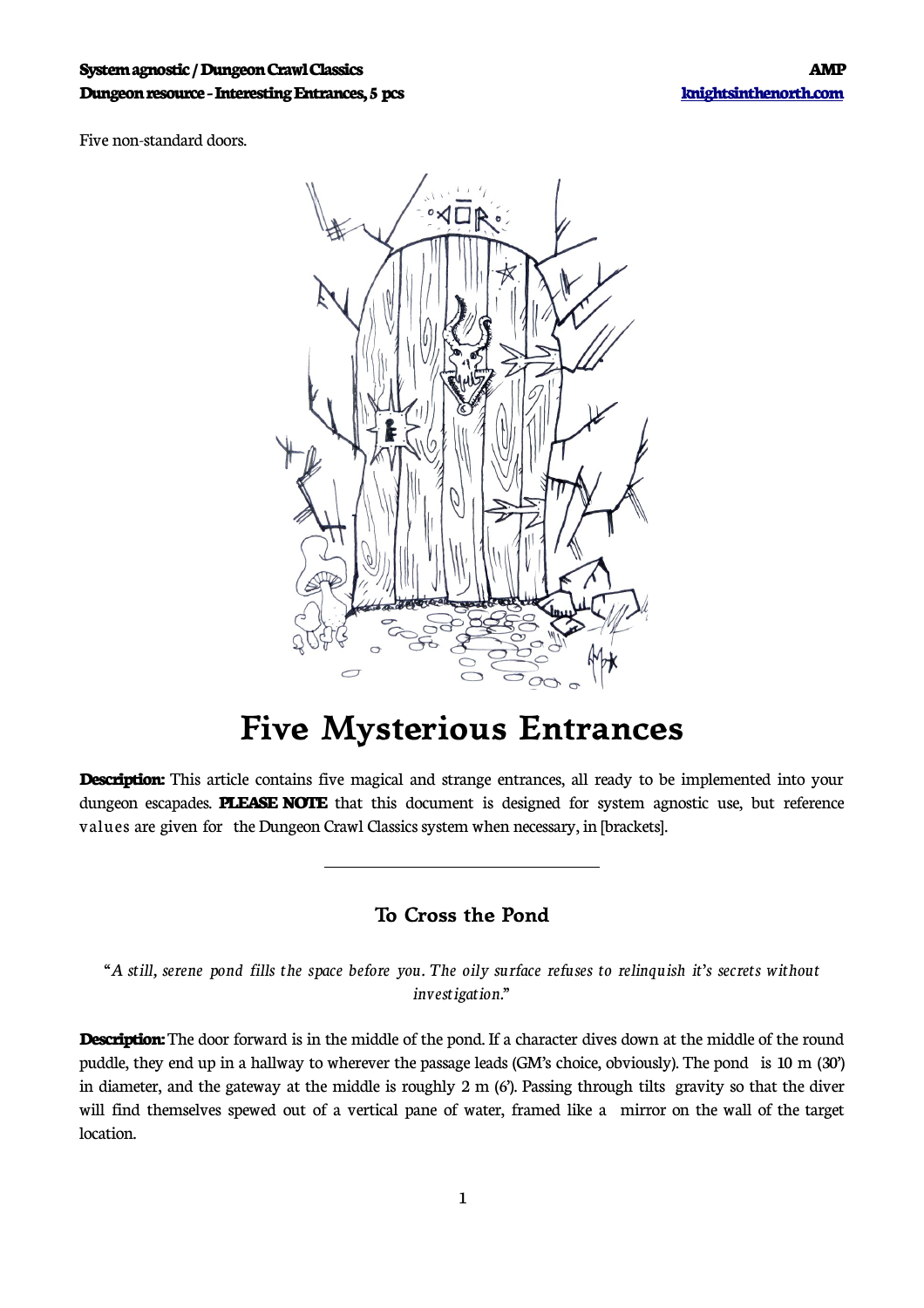#### **System agnostic / Dungeon Crawl Classics AMP Dungeon resource - InterestingEntrances,5 pcs [knightsinthenorth.com](http://knightsinthenorth.com/)**

Five non-standard doors.



# **Five Mysterious Entrances**

**Description:** This article contains five magical and strange entrances, all ready to be implemented into your dungeon escapades. **PLEASE NOTE** that this document is designed for system agnostic use, but reference values are given for the Dungeon Crawl Classics system when necessary, in [brackets].

### **To Cross the Pond**

 $\overline{\phantom{a}}$ 

"A still, serene pond fills the space before you. The oily surface refuses to relinquish it's secrets without *investigation."*

**Description:** The door forward is in the middle of the pond. If a character dives down at the middle of the round puddle, they end up in a hallway to wherever the passage leads (GM's choice, obviously). The pond is 10 m (30') in diameter, and the gateway at the middle is roughly 2 m (6'). Passing through tilts gravity so that the diver will find themselves spewed out of a vertical pane of water, framed like a mirror on the wall of the target location.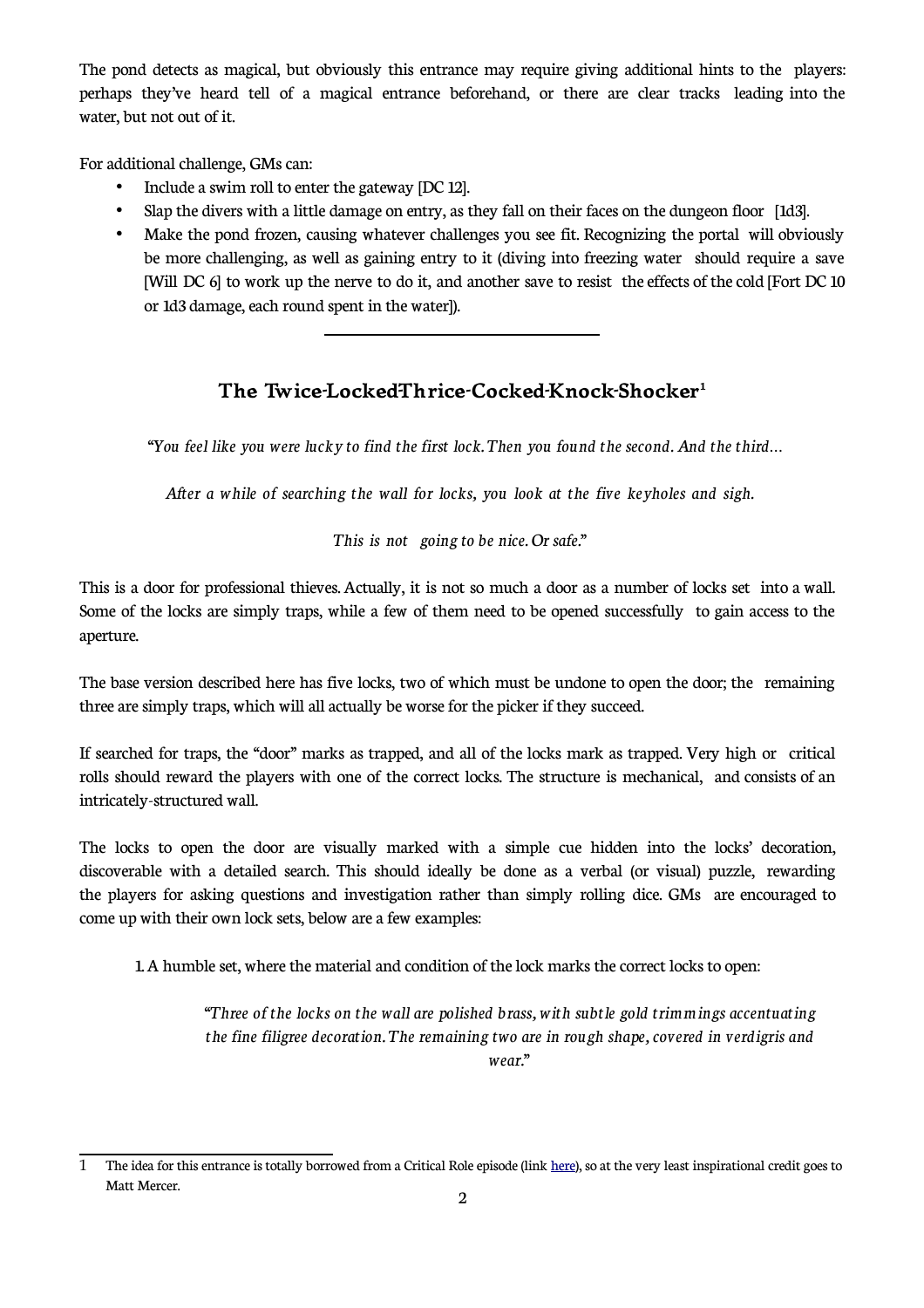The pond detects as magical, but obviously this entrance may require giving additional hints to the players: perhaps they've heard tell of a magical entrance beforehand, or there are clear tracks leading into the water, but not out of it.

For additional challenge, GMs can:

• Include a swim roll to enter the gateway [DC 12].

 $\overline{a}$ 

- Slap the divers with a little damage on entry, as they fall on their faces on the dungeon floor [1d3].
- Make the pond frozen, causing whatever challenges you see fit. Recognizing the portal will obviously be more challenging, as well as gaining entry to it (diving into freezing water should require a save [Will DC 6] to work up the nerve to do it, and another save to resist the effects of the cold [Fort DC 10 or 1d3 damage, each round spent in the water]).

### **The Twice-Locked-Thrice-Cocked-Knock-Shocker[1](#page-1-0)**

*"You feel like you were lucky to find the first lock. Then you found the second.And the third…*

*After a while of searching the wall for locks, you look at the five keyholes and sigh.*

*This is not going to be nice. Or safe."*

This is a door for professional thieves. Actually, it is not so much a door as a number of locks set into a wall. Some of the locks are simply traps, while a few of them need to be opened successfully to gain access to the aperture.

The base version described here has five locks, two of which must be undone to open the door; the remaining three are simply traps, which will all actually be worse for the picker if they succeed.

If searched for traps, the "door" marks as trapped, and all of the locks mark as trapped. Very high or critical rolls should reward the players with one of the correct locks. The structure is mechanical, and consists of an intricately-structured wall.

The locks to open the door are visually marked with a simple cue hidden into the locks' decoration, discoverable with a detailed search. This should ideally be done as a verbal (or visual) puzzle, rewarding the players for asking questions and investigation rather than simply rolling dice. GMs are encouraged to come up with their own lock sets, below are a few examples:

1. A humble set, where the material and condition of the lock marks the correct locks to open:

*"Three of the locks on the wall are polished brass, with subtle gold trimmings accentuating the fine filigree decoration. The remaining two are in rough shape, covered in verdigris and wear."*

<span id="page-1-0"></span><sup>1</sup> The idea for this entrance is totally borrowed from a Critical Role episode (link [here](https://www.youtube.com/watch?v=1cbxJRfvBtI&feature=youtu.be&t=11136)), so at the very least inspirational credit goes to Matt Mercer.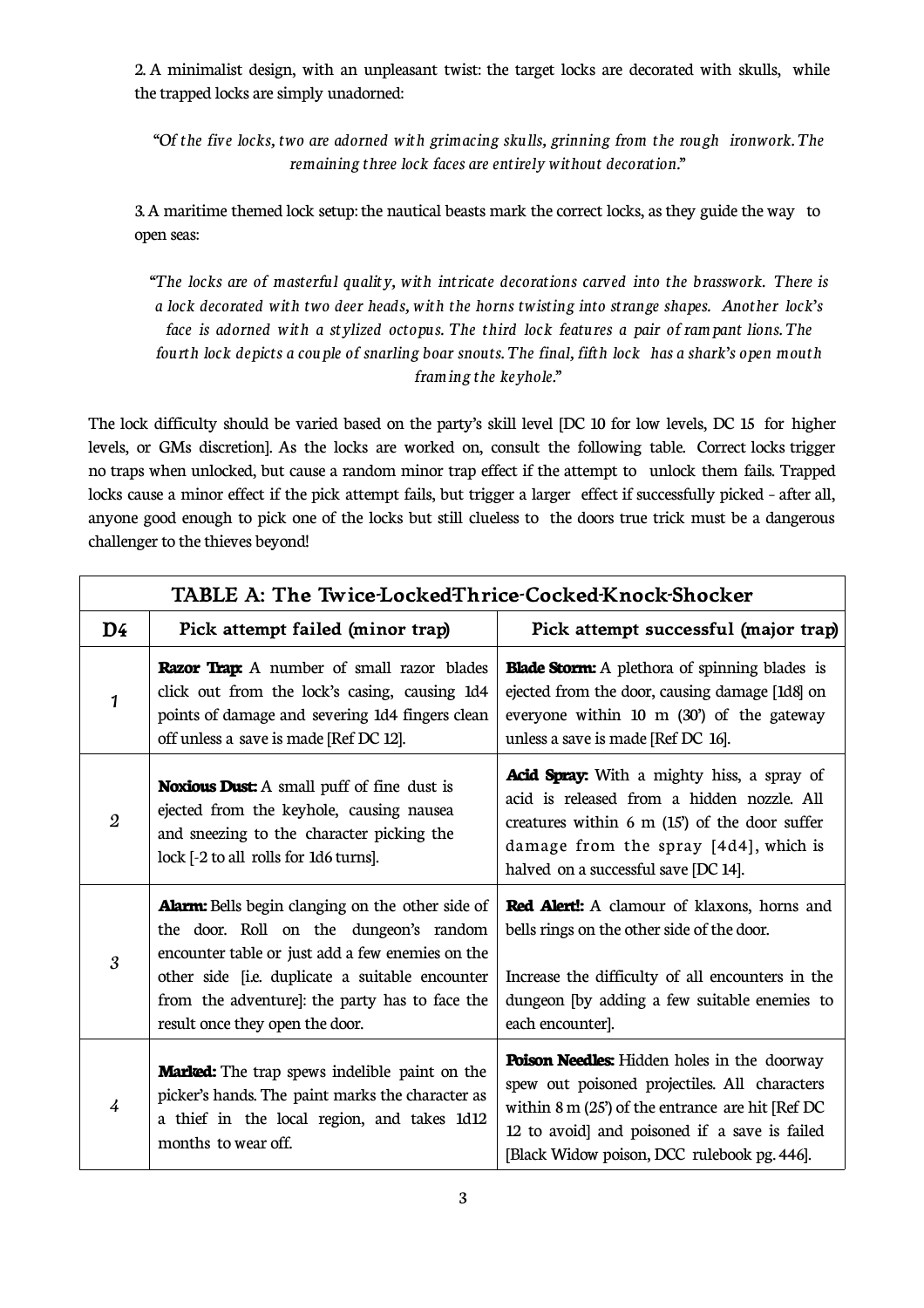2. A minimalist design, with an unpleasant twist: the target locks are decorated with skulls, while the trapped locks are simply unadorned:

*"Of the five locks, two are adorned with grimacing skulls, grinning from the rough ironwork. The remaining three lock faces are entirelywithout decoration."*

3. A maritime themed lock setup: the nautical beasts mark the correct locks, as they guide the way to open seas:

*"The locks are of masterful quality, with intricate decorations carved into the brasswork. There is a lock decorated with two deer heads, with the horns twisting into strange shapes. Another lock's face is adorned with a stylized octopus. The third lock features a pair of rampant lions. The* fourth lock depicts a couple of snarling boar snouts. The final, fifth lock has a shark's open mouth *framing the keyhole."*

The lock difficulty should be varied based on the party's skill level [DC 10 for low levels, DC 15 for higher levels, or GMs discretion]. As the locks are worked on, consult the following table. Correct locks trigger no traps when unlocked, but cause a random minor trap effect if the attempt to unlock them fails. Trapped locks cause a minor effect if the pick attempt fails, but trigger a larger effect if successfully picked – after all, anyone good enough to pick one of the locks but still clueless to the doors true trick must be a dangerous challenger to the thieves beyond!

| TABLE A: The Twice-LockedThrice-Cocked-Knock-Shocker |                                                                                                                                                                                                                                                                                               |                                                                                                                                                                                                                                                                  |  |  |
|------------------------------------------------------|-----------------------------------------------------------------------------------------------------------------------------------------------------------------------------------------------------------------------------------------------------------------------------------------------|------------------------------------------------------------------------------------------------------------------------------------------------------------------------------------------------------------------------------------------------------------------|--|--|
| D <sub>4</sub>                                       | Pick attempt failed (minor trap)                                                                                                                                                                                                                                                              | Pick attempt successful (major trap)                                                                                                                                                                                                                             |  |  |
| $\mathbf{1}$                                         | <b>Razor Trap:</b> A number of small razor blades<br>click out from the lock's casing, causing 1d4<br>points of damage and severing 1d4 fingers clean<br>off unless a save is made [Ref DC 12].                                                                                               | <b>Blade Storm:</b> A plethora of spinning blades is<br>ejected from the door, causing damage [1d8] on<br>everyone within 10 m (30') of the gateway<br>unless a save is made [Ref DC 16].                                                                        |  |  |
| $\overline{2}$                                       | <b>Noxious Dust:</b> A small puff of fine dust is<br>ejected from the keyhole, causing nausea<br>and sneezing to the character picking the<br>lock [-2 to all rolls for 1d6 turns].                                                                                                           | Acid Spray: With a mighty hiss, a spray of<br>acid is released from a hidden nozzle. All<br>creatures within $6 \text{ m}$ (15') of the door suffer<br>damage from the spray [4d4], which is<br>halved on a successful save [DC 14].                             |  |  |
| 3                                                    | <b>Alarm:</b> Bells begin clanging on the other side of<br>the door. Roll on the dungeon's random<br>encounter table or just add a few enemies on the<br>other side [i.e. duplicate a suitable encounter<br>from the adventure]: the party has to face the<br>result once they open the door. | <b>Red Alert!:</b> A clamour of klaxons, horns and<br>bells rings on the other side of the door.<br>Increase the difficulty of all encounters in the<br>dungeon [by adding a few suitable enemies to<br>each encounter].                                         |  |  |
| $\overline{4}$                                       | <b>Marked:</b> The trap spews indelible paint on the<br>picker's hands. The paint marks the character as<br>a thief in the local region, and takes 1d12<br>months to wear off.                                                                                                                | <b>Poison Needles:</b> Hidden holes in the doorway<br>spew out poisoned projectiles. All characters<br>within $8 \text{ m}$ (25) of the entrance are hit [Ref DC<br>12 to avoid] and poisoned if a save is failed<br>[Black Widow poison, DCC rulebook pg. 446]. |  |  |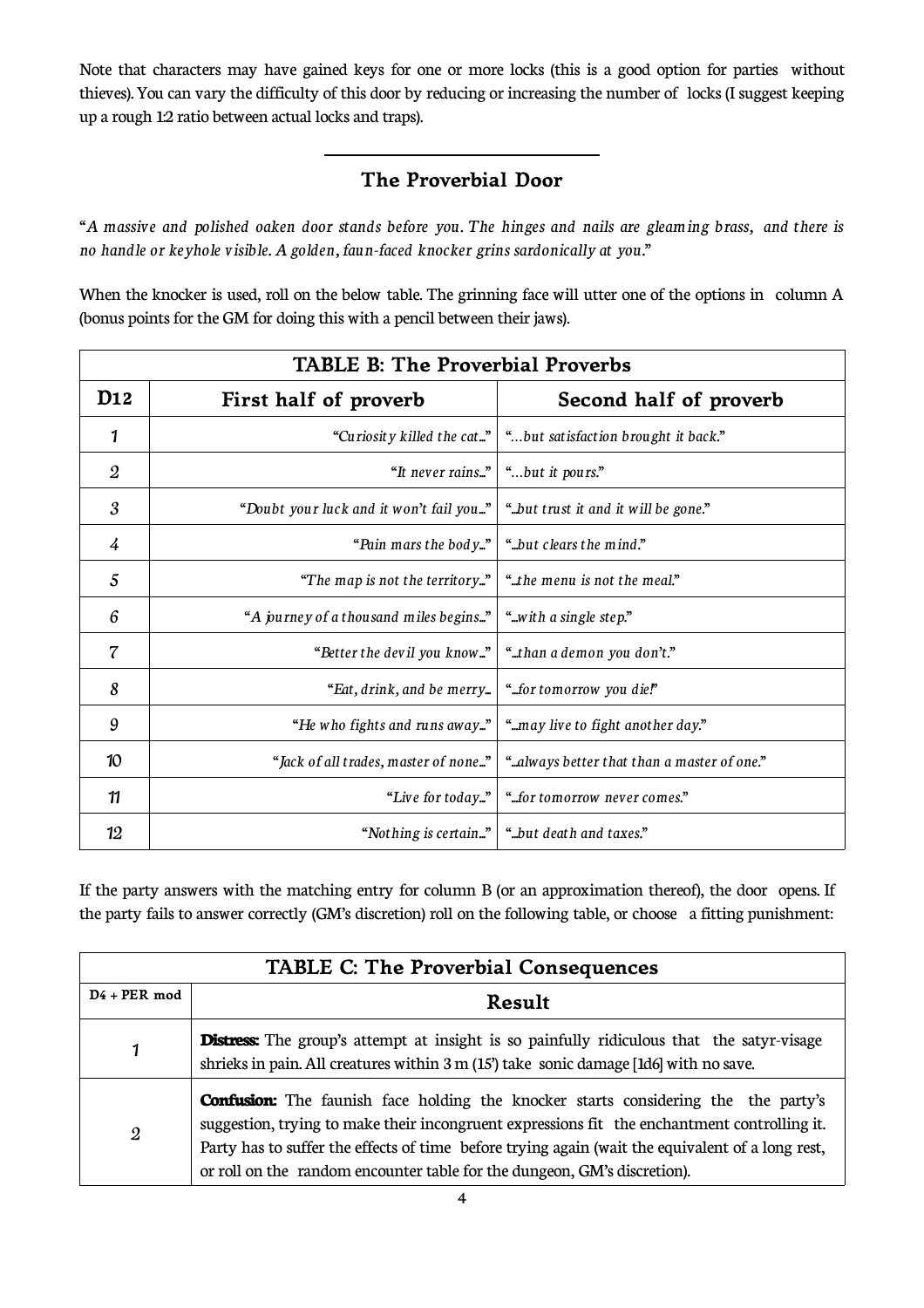Note that characters may have gained keys for one or more locks (this is a good option for parties without thieves). You can vary the difficulty of this door by reducing or increasing the number of locks (I suggest keeping up a rough 1:2 ratio between actual locks and traps).

### **The Proverbial Door**

 $\overline{\phantom{a}}$ 

"A massive and polished oaken door stands before you. The hinges and nails are gleaming brass, and there is *no handle or keyhole visible. A golden, faun-faced knocker grins sardonically at you."*

When the knocker is used, roll on the below table. The grinning face will utter one of the options in column A (bonus points for the GM for doing this with a pencil between their jaws).

| <b>TABLE B: The Proverbial Proverbs</b> |                                         |                                             |  |
|-----------------------------------------|-----------------------------------------|---------------------------------------------|--|
| D <sub>12</sub>                         | First half of proverb                   | Second half of proverb                      |  |
| 1                                       | "Curiosity killed the cat"              | "but satisfaction brought it back."         |  |
| $\overline{2}$                          | "It never rains"                        | "but it pours."                             |  |
| 3                                       | "Doubt your luck and it won't fail you" | "but trust it and it will be gone."         |  |
| 4                                       | "Pain mars the body"                    | "but clears the mind."                      |  |
| 5                                       | "The map is not the territory"          | " the menu is not the meal."                |  |
| 6                                       | "A journey of a thousand miles begins"  | ".with a single step."                      |  |
| $\overline{\mathcal{C}}$                | "Better the devil you know"             | "than a demon you don't."                   |  |
| 8                                       | "Eat, drink, and be merry               | "for tomorrow you die!"                     |  |
| 9                                       | "He who fights and runs away"           | "may live to fight another day."            |  |
| 10                                      | "Jack of all trades, master of none"    | ".always better that than a master of one." |  |
| 11                                      | "Live for today"                        | "for tomorrow never comes."                 |  |
| 12                                      | "Nothing is certain"                    | "but death and taxes."                      |  |

If the party answers with the matching entry for column B (or an approximation thereof), the door opens. If the party fails to answer correctly (GM's discretion) roll on the following table, or choose a fitting punishment:

| <b>TABLE C: The Proverbial Consequences</b> |                                                                                                                                                                                                                                                                                                                                                                           |  |  |
|---------------------------------------------|---------------------------------------------------------------------------------------------------------------------------------------------------------------------------------------------------------------------------------------------------------------------------------------------------------------------------------------------------------------------------|--|--|
| $D4 + PER \mod$                             | Result                                                                                                                                                                                                                                                                                                                                                                    |  |  |
|                                             | <b>Distress:</b> The group's attempt at insight is so painfully ridiculous that the satyr-visage<br>shrieks in pain. All creatures within 3 m (15') take sonic damage [1d6] with no save.                                                                                                                                                                                 |  |  |
| $\overline{2}$                              | <b>Confusion:</b> The faunish face holding the knocker starts considering the the party's<br>suggestion, trying to make their incongruent expressions fit the enchantment controlling it.<br>Party has to suffer the effects of time before trying again (wait the equivalent of a long rest,<br>or roll on the random encounter table for the dungeon, GM's discretion). |  |  |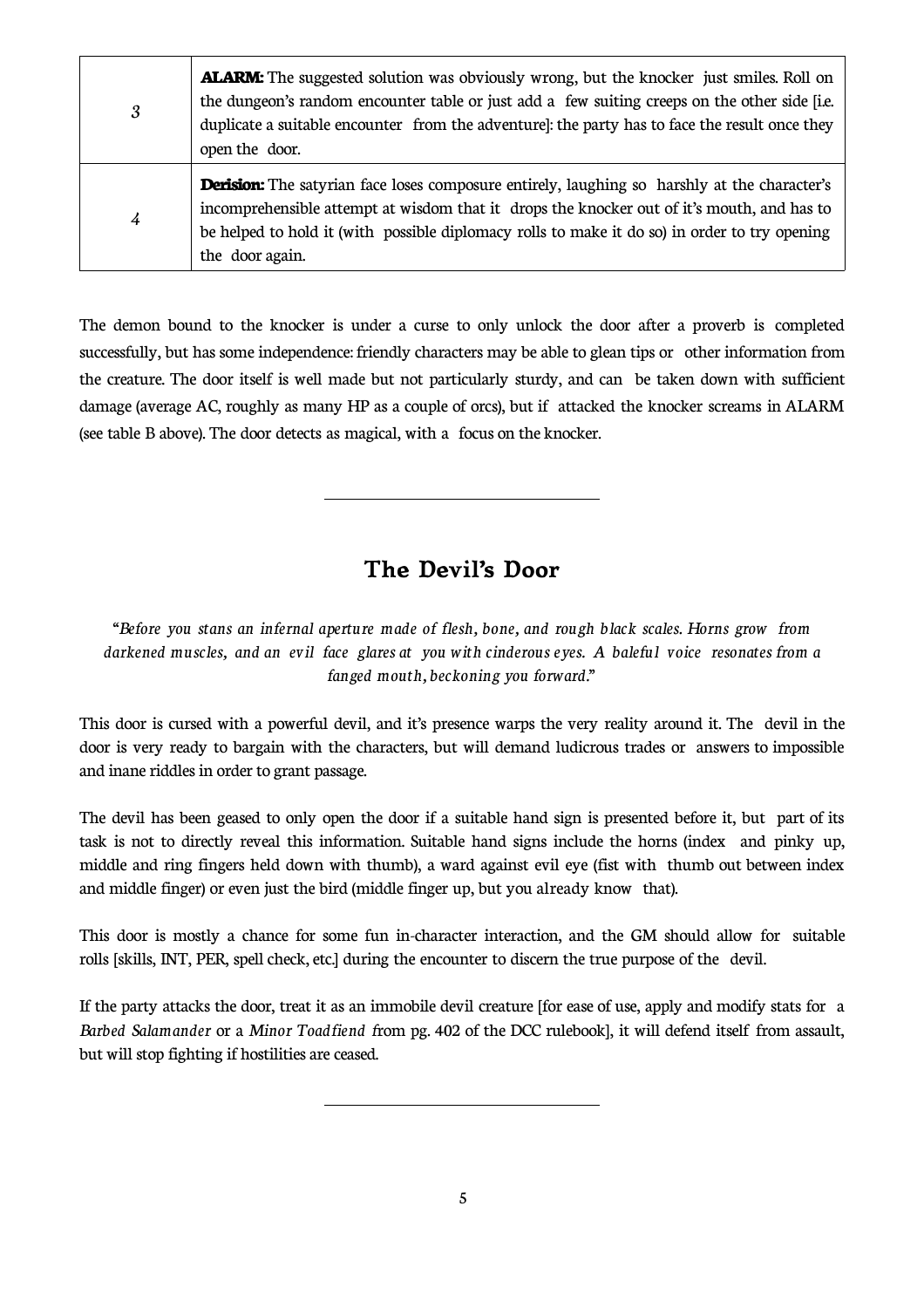| 3 | <b>ALARM:</b> The suggested solution was obviously wrong, but the knocker just smiles. Roll on<br>the dungeon's random encounter table or just add a few suiting creeps on the other side [i.e.]<br>duplicate a suitable encounter from the adventure]: the party has to face the result once they<br>open the door.  |
|---|-----------------------------------------------------------------------------------------------------------------------------------------------------------------------------------------------------------------------------------------------------------------------------------------------------------------------|
| 4 | <b>Derision:</b> The satyrian face loses composure entirely, laughing so harshly at the character's<br>incomprehensible attempt at wisdom that it drops the knocker out of it's mouth, and has to<br>be helped to hold it (with possible diplomacy rolls to make it do so) in order to try opening<br>the door again. |

The demon bound to the knocker is under a curse to only unlock the door after a proverb is completed successfully, but has some independence: friendly characters may be able to glean tips or other information from the creature. The door itself is well made but not particularly sturdy, and can be taken down with sufficient damage (average AC, roughly as many HP as a couple of orcs), but if attacked the knocker screams in ALARM (see table B above). The door detects as magical, with a focus on the knocker.

## **The Devil's Door**

 $\overline{a}$ 

 $\overline{a}$ 

*"Before you stans an infernal aperture made of flesh, bone, and rough black scales. Horns grow from darkened muscles, and an evil face glares at you with cinderous eyes. A baleful voice resonates from a fanged mouth, beckoning you forward."*

This door is cursed with a powerful devil, and it's presence warps the very reality around it. The devil in the door is very ready to bargain with the characters, but will demand ludicrous trades or answers to impossible and inane riddles in order to grant passage.

The devil has been geased to only open the door if a suitable hand sign is presented before it, but part of its task is not to directly reveal this information. Suitable hand signs include the horns (index and pinky up, middle and ring fingers held down with thumb), a ward against evil eye (fist with thumb out between index and middle finger) or even just the bird (middle finger up, but you already know that).

This door is mostly a chance for some fun in-character interaction, and the GM should allow for suitable rolls [skills, INT, PER, spell check, etc.] during the encounter to discern the true purpose of the devil.

If the party attacks the door, treat it as an immobile devil creature [for ease of use, apply and modify stats for a *Barbed Salamander* or a *Minor Toadfiend f*rom pg. 402 of the DCC rulebook], it will defend itself from assault, but will stop fighting if hostilities areceased.